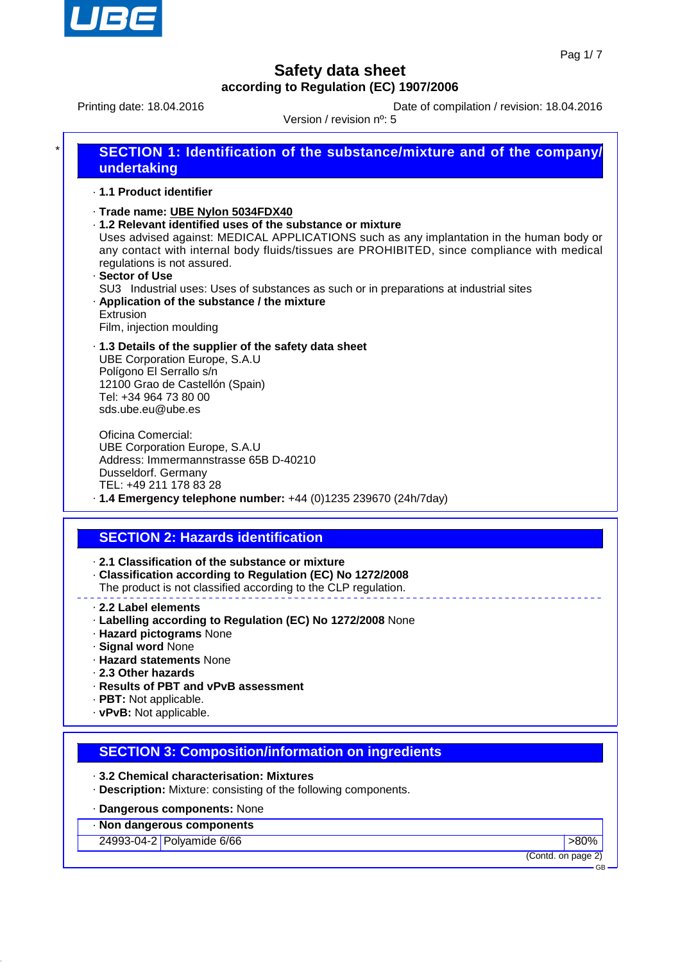

Printing date: 18.04.2016 **Date of compilation / revision: 18.04.2016** 

Version / revision nº: 5

| * | <b>SECTION 1: Identification of the substance/mixture and of the company/</b><br>undertaking                                                                                                                                                                                                                                                                                                                                                                                                                                  |  |  |
|---|-------------------------------------------------------------------------------------------------------------------------------------------------------------------------------------------------------------------------------------------------------------------------------------------------------------------------------------------------------------------------------------------------------------------------------------------------------------------------------------------------------------------------------|--|--|
|   | ⋅ 1.1 Product identifier                                                                                                                                                                                                                                                                                                                                                                                                                                                                                                      |  |  |
|   | ⋅Trade name: UBE Nylon 5034FDX40<br>.1.2 Relevant identified uses of the substance or mixture<br>Uses advised against: MEDICAL APPLICATIONS such as any implantation in the human body or<br>any contact with internal body fluids/tissues are PROHIBITED, since compliance with medical<br>regulations is not assured.<br>· Sector of Use<br>SU3 Industrial uses: Uses of substances as such or in preparations at industrial sites<br>. Application of the substance / the mixture<br>Extrusion<br>Film, injection moulding |  |  |
|   | .1.3 Details of the supplier of the safety data sheet<br><b>UBE Corporation Europe, S.A.U</b><br>Polígono El Serrallo s/n<br>12100 Grao de Castellón (Spain)                                                                                                                                                                                                                                                                                                                                                                  |  |  |

· **2.1 Classification of the substance or mixture**

· **Classification according to Regulation (EC) No 1272/2008**

· **1.4 Emergency telephone number:** +44 (0)1235 239670 (24h/7day)

The product is not classified according to the CLP regulation.

· **2.2 Label elements**

Tel: +34 964 73 80 00 sds.ube.eu@ube.es

UBE Corporation Europe, S.A.U

Address: Immermannstrasse 65B D-40210

**SECTION 2: Hazards identification**

Oficina Comercial:

Dusseldorf. Germany TEL: +49 211 178 83 28

- · **Labelling according to Regulation (EC) No 1272/2008** None
- · **Hazard pictograms** None
- · **Signal word** None
- · **Hazard statements** None
- · **2.3 Other hazards**
- · **Results of PBT and vPvB assessment**
- · **PBT:** Not applicable.
- · **vPvB:** Not applicable.

### **SECTION 3: Composition/information on ingredients**

· **3.2 Chemical characterisation: Mixtures**

· **Description:** Mixture: consisting of the following components.

#### · **Dangerous components:** None

· **Non dangerous components**

24993-04-2 Polyamide 6/66 **big and the set of the set of the set of the set of the set of the set of the set of the set of the set of the set of the set of the set of the set of the set of the set of the set of the set of** 

(Contd. on page 2)

GB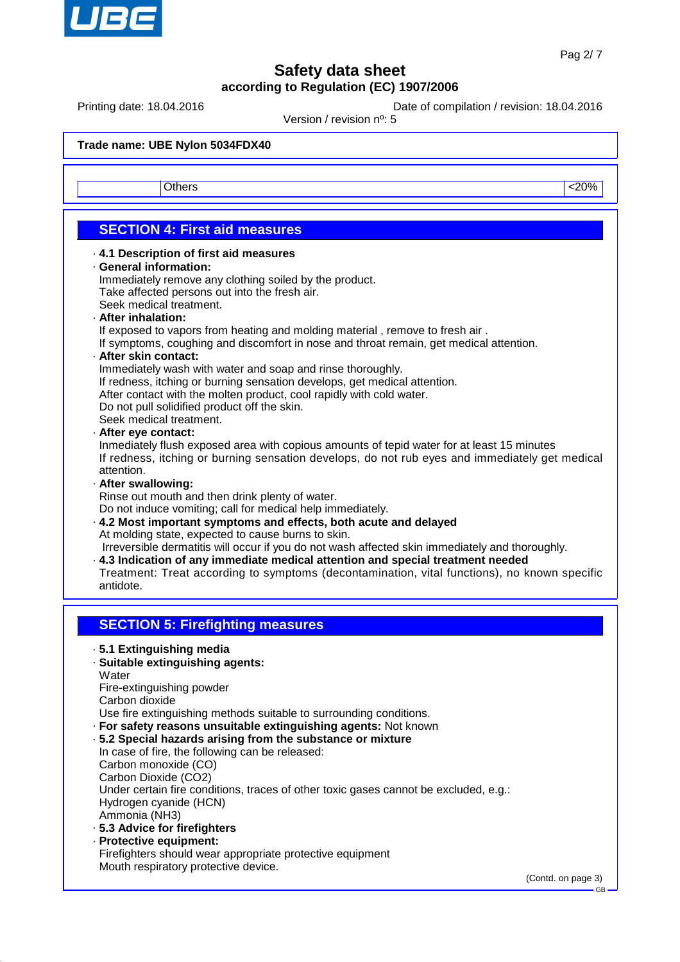

Printing date: 18.04.2016 **Date of compilation / revision: 18.04.2016** 

Version / revision nº: 5

**Trade name: UBE Nylon 5034FDX40**

Others and the contract of the contract of the contract of the contract of the contract of the contract of the contract of the contract of the contract of the contract of the contract of the contract of the contract of the

## **SECTION 4: First aid measures**

#### · **4.1 Description of first aid measures**

- · **General information:**
- Immediately remove any clothing soiled by the product. Take affected persons out into the fresh air. Seek medical treatment.
- · **After inhalation:**

If exposed to vapors from heating and molding material , remove to fresh air .

- If symptoms, coughing and discomfort in nose and throat remain, get medical attention.
- · **After skin contact:**

Immediately wash with water and soap and rinse thoroughly.

- If redness, itching or burning sensation develops, get medical attention.
- After contact with the molten product, cool rapidly with cold water.

Do not pull solidified product off the skin.

Seek medical treatment.

· **After eye contact:**

Inmediately flush exposed area with copious amounts of tepid water for at least 15 minutes If redness, itching or burning sensation develops, do not rub eyes and immediately get medical attention.

· **After swallowing:**

Rinse out mouth and then drink plenty of water.

Do not induce vomiting; call for medical help immediately.

· **4.2 Most important symptoms and effects, both acute and delayed** At molding state, expected to cause burns to skin.

Irreversible dermatitis will occur if you do not wash affected skin immediately and thoroughly.

· **4.3 Indication of any immediate medical attention and special treatment needed** Treatment: Treat according to symptoms (decontamination, vital functions), no known specific antidote.

## **SECTION 5: Firefighting measures**

- · **5.1 Extinguishing media**
- · **Suitable extinguishing agents:**

**Water** 

Fire-extinguishing powder

Carbon dioxide

Use fire extinguishing methods suitable to surrounding conditions.

- · **For safety reasons unsuitable extinguishing agents:** Not known
- · **5.2 Special hazards arising from the substance or mixture**

In case of fire, the following can be released: Carbon monoxide (CO) Carbon Dioxide (CO2) Under certain fire conditions, traces of other toxic gases cannot be excluded, e.g.: Hydrogen cyanide (HCN) Ammonia (NH3)

- · **5.3 Advice for firefighters**
- · **Protective equipment:** Firefighters should wear appropriate protective equipment Mouth respiratory protective device.

(Contd. on page 3)

GB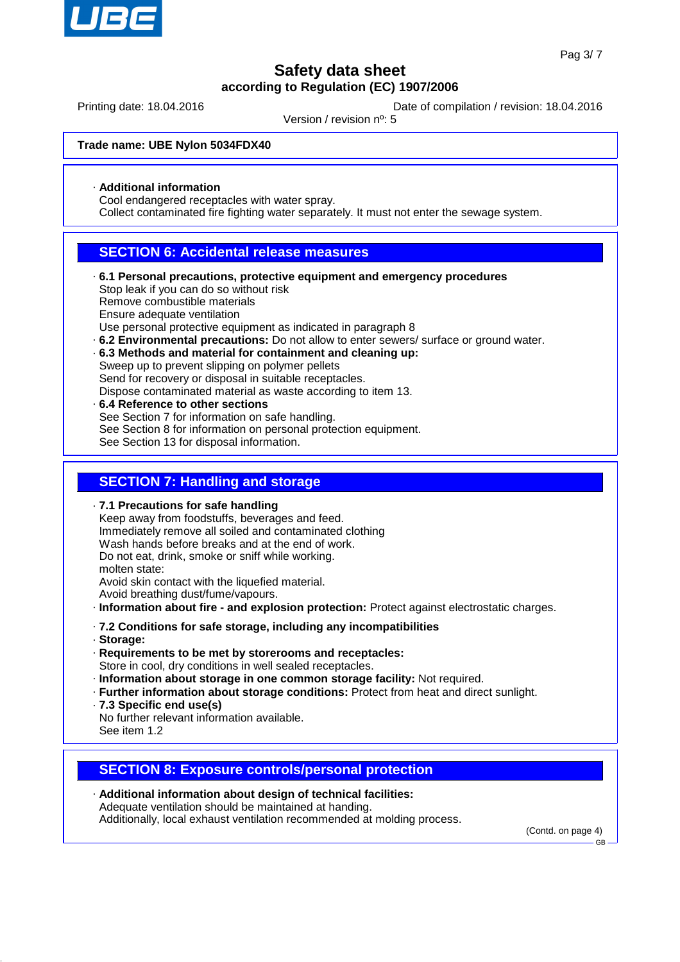

Printing date: 18.04.2016 **Date of compilation / revision: 18.04.2016** 

Version / revision nº: 5

#### **Trade name: UBE Nylon 5034FDX40**

#### · **Additional information**

Cool endangered receptacles with water spray.

Collect contaminated fire fighting water separately. It must not enter the sewage system.

### **SECTION 6: Accidental release measures**

- · **6.1 Personal precautions, protective equipment and emergency procedures** Stop leak if you can do so without risk Remove combustible materials Ensure adequate ventilation Use personal protective equipment as indicated in paragraph 8
- · **6.2 Environmental precautions:** Do not allow to enter sewers/ surface or ground water.
- · **6.3 Methods and material for containment and cleaning up:** Sweep up to prevent slipping on polymer pellets Send for recovery or disposal in suitable receptacles. Dispose contaminated material as waste according to item 13.
- · **6.4 Reference to other sections** See Section 7 for information on safe handling. See Section 8 for information on personal protection equipment. See Section 13 for disposal information.

#### **SECTION 7: Handling and storage**

· **7.1 Precautions for safe handling** Keep away from foodstuffs, beverages and feed. Immediately remove all soiled and contaminated clothing Wash hands before breaks and at the end of work. Do not eat, drink, smoke or sniff while working. molten state: Avoid skin contact with the liquefied material. Avoid breathing dust/fume/vapours. · **Information about fire - and explosion protection:** Protect against electrostatic charges. · **7.2 Conditions for safe storage, including any incompatibilities** · **Storage:** · **Requirements to be met by storerooms and receptacles:**

- 
- Store in cool, dry conditions in well sealed receptacles.
- · **Information about storage in one common storage facility:** Not required.
- · **Further information about storage conditions:** Protect from heat and direct sunlight.
- · **7.3 Specific end use(s)**
- No further relevant information available. See item 1.2

### **SECTION 8: Exposure controls/personal protection**

· **Additional information about design of technical facilities:** Adequate ventilation should be maintained at handing. Additionally, local exhaust ventilation recommended at molding process.

(Contd. on page 4)

GB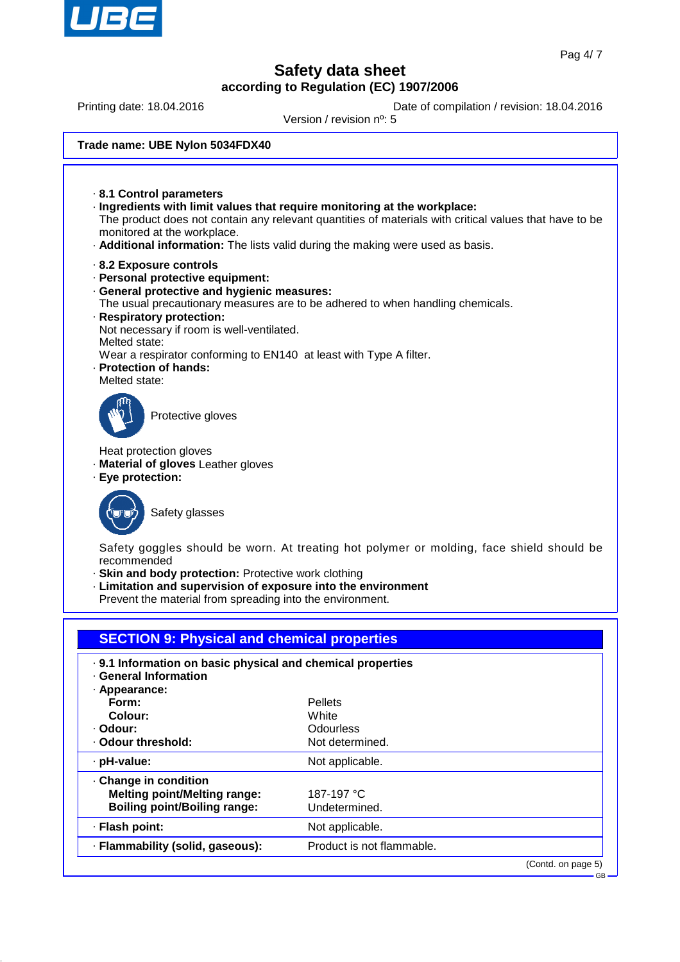

Printing date: 18.04.2016 **Date of compilation / revision: 18.04.2016** 

Version / revision nº: 5

#### **Trade name: UBE Nylon 5034FDX40**

· **8.1 Control parameters** · **Ingredients with limit values that require monitoring at the workplace:** The product does not contain any relevant quantities of materials with critical values that have to be monitored at the workplace. · **Additional information:** The lists valid during the making were used as basis. · **8.2 Exposure controls** · **Personal protective equipment:** · **General protective and hygienic measures:** The usual precautionary measures are to be adhered to when handling chemicals. · **Respiratory protection:** Not necessary if room is well-ventilated. Melted state: Wear a respirator conforming to EN140 at least with Type A filter. · **Protection of hands:** Melted state: Protective gloves Heat protection gloves · **Material of gloves** Leather gloves · **Eye protection:** Safety glasses Safety goggles should be worn. At treating hot polymer or molding, face shield should be recommended · **Skin and body protection:** Protective work clothing · **Limitation and supervision of exposure into the environment** Prevent the material from spreading into the environment. **SECTION 9: Physical and chemical properties** · **9.1 Information on basic physical and chemical properties** · **General Information** · **Appearance: Form:** Pellets **Colour:** White · **Odour:** Odourless · Odour threshold: Not determined. · pH-value: Not applicable. · **Change in condition Melting point/Melting range:** 187-197 °C **Boiling point/Boiling range:** Undetermined. · **Flash point:** Not applicable.

· **Flammability (solid, gaseous):** Product is not flammable.

GB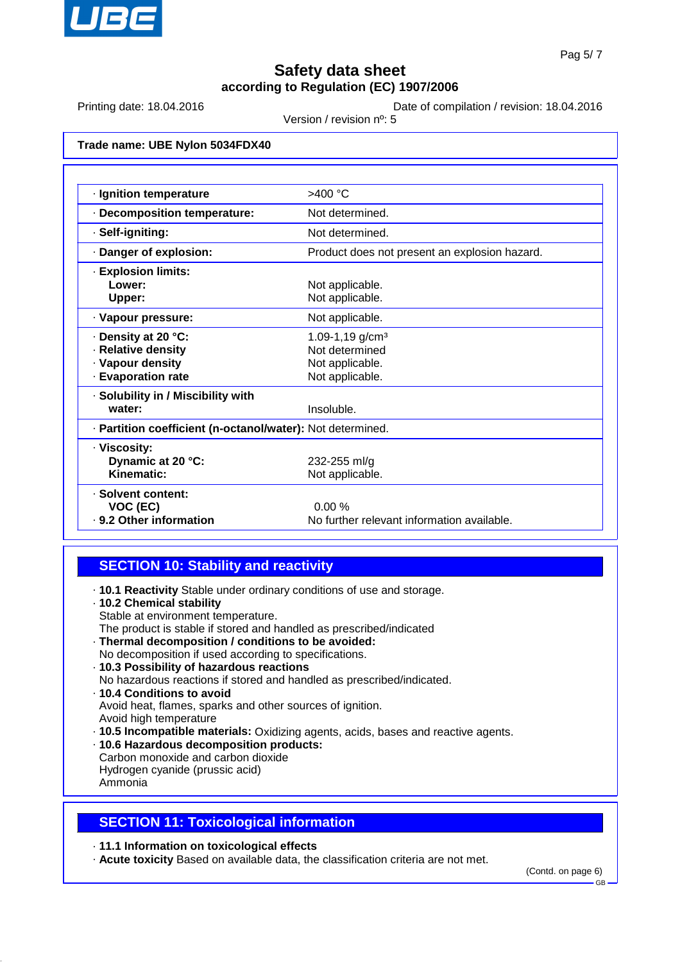

Printing date: 18.04.2016 **Date of compilation / revision: 18.04.2016** 

Version / revision nº: 5

**Trade name: UBE Nylon 5034FDX40**

| · Ignition temperature                                     | >400 °C                                       |
|------------------------------------------------------------|-----------------------------------------------|
| · Decomposition temperature:                               | Not determined.                               |
| · Self-igniting:                                           | Not determined.                               |
| · Danger of explosion:                                     | Product does not present an explosion hazard. |
| · Explosion limits:                                        |                                               |
| Lower:                                                     | Not applicable.                               |
| Upper:                                                     | Not applicable.                               |
| · Vapour pressure:                                         | Not applicable.                               |
| ⋅ Density at 20 °C:                                        | 1.09-1,19 $g/cm3$                             |
| · Relative density                                         | Not determined                                |
| · Vapour density                                           | Not applicable.                               |
| <b>Evaporation rate</b>                                    | Not applicable.                               |
| · Solubility in / Miscibility with                         |                                               |
| water:                                                     | Insoluble.                                    |
| · Partition coefficient (n-octanol/water): Not determined. |                                               |
| · Viscosity:                                               |                                               |
| Dynamic at 20 °C:                                          | 232-255 ml/g                                  |
| Kinematic:                                                 | Not applicable.                               |
| · Solvent content:                                         |                                               |
| VOC (EC)                                                   | 0.00 %                                        |
| . 9.2 Other information                                    | No further relevant information available.    |

## **SECTION 10: Stability and reactivity**

- · **10.1 Reactivity** Stable under ordinary conditions of use and storage.
- · **10.2 Chemical stability** Stable at environment temperature. The product is stable if stored and handled as prescribed/indicated · **Thermal decomposition / conditions to be avoided:** No decomposition if used according to specifications. · **10.3 Possibility of hazardous reactions** No hazardous reactions if stored and handled as prescribed/indicated. · **10.4 Conditions to avoid** Avoid heat, flames, sparks and other sources of ignition. Avoid high temperature
- · **10.5 Incompatible materials:** Oxidizing agents, acids, bases and reactive agents.
- · **10.6 Hazardous decomposition products:** Carbon monoxide and carbon dioxide Hydrogen cyanide (prussic acid) Ammonia

### **SECTION 11: Toxicological information**

· **11.1 Information on toxicological effects**

· **Acute toxicity** Based on available data, the classification criteria are not met.

(Contd. on page 6)

GB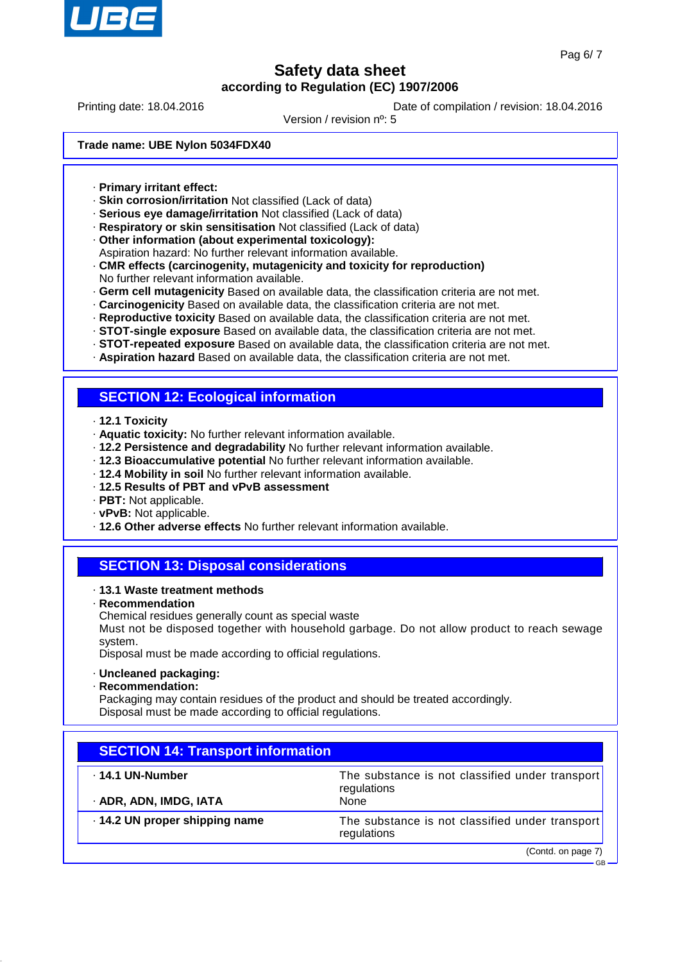

GB

# **Safety data sheet according to Regulation (EC) 1907/2006**

Printing date: 18.04.2016 **Date of compilation / revision: 18.04.2016** 

Version / revision nº: 5

**Trade name: UBE Nylon 5034FDX40**

- · **Primary irritant effect:**
- · **Skin corrosion/irritation** Not classified (Lack of data)
- · **Serious eye damage/irritation** Not classified (Lack of data)
- · **Respiratory or skin sensitisation** Not classified (Lack of data)
- · **Other information (about experimental toxicology):**
- Aspiration hazard: No further relevant information available.
- · **CMR effects (carcinogenity, mutagenicity and toxicity for reproduction)** No further relevant information available.
- · **Germ cell mutagenicity** Based on available data, the classification criteria are not met.
- · **Carcinogenicity** Based on available data, the classification criteria are not met.
- · **Reproductive toxicity** Based on available data, the classification criteria are not met.
- · **STOT-single exposure** Based on available data, the classification criteria are not met.
- · **STOT-repeated exposure** Based on available data, the classification criteria are not met.
- · **Aspiration hazard** Based on available data, the classification criteria are not met.

### **SECTION 12: Ecological information**

- · **12.1 Toxicity**
- · **Aquatic toxicity:** No further relevant information available.
- · **12.2 Persistence and degradability** No further relevant information available.
- · **12.3 Bioaccumulative potential** No further relevant information available.
- · **12.4 Mobility in soil** No further relevant information available.
- · **12.5 Results of PBT and vPvB assessment**
- · **PBT:** Not applicable.
- · **vPvB:** Not applicable.
- · **12.6 Other adverse effects** No further relevant information available.

## **SECTION 13: Disposal considerations**

- · **13.1 Waste treatment methods**
- · **Recommendation**
- Chemical residues generally count as special waste

Must not be disposed together with household garbage. Do not allow product to reach sewage system.

Disposal must be made according to official regulations.

- · **Uncleaned packaging:**
- · **Recommendation:**

Packaging may contain residues of the product and should be treated accordingly. Disposal must be made according to official regulations.

| <b>SECTION 14: Transport information</b> |                                                                |  |
|------------------------------------------|----------------------------------------------------------------|--|
| $\cdot$ 14.1 UN-Number                   | The substance is not classified under transport<br>regulations |  |
| · ADR, ADN, IMDG, IATA                   | <b>None</b>                                                    |  |
| .14.2 UN proper shipping name            | The substance is not classified under transport<br>regulations |  |
|                                          | (Contd. on page 7)                                             |  |